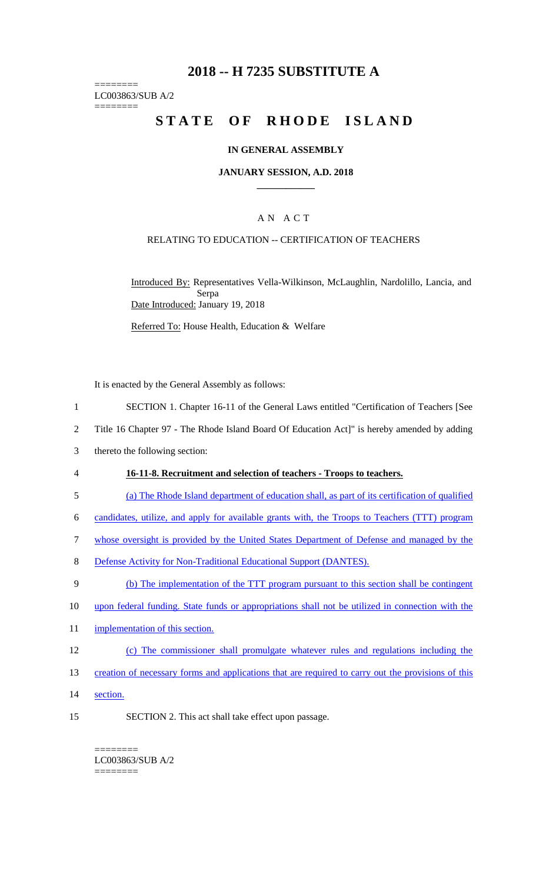# **2018 -- H 7235 SUBSTITUTE A**

======== LC003863/SUB A/2 ========

# **STATE OF RHODE ISLAND**

### **IN GENERAL ASSEMBLY**

#### **JANUARY SESSION, A.D. 2018 \_\_\_\_\_\_\_\_\_\_\_\_**

### A N A C T

### RELATING TO EDUCATION -- CERTIFICATION OF TEACHERS

Introduced By: Representatives Vella-Wilkinson, McLaughlin, Nardolillo, Lancia, and Serpa Date Introduced: January 19, 2018

Referred To: House Health, Education & Welfare

It is enacted by the General Assembly as follows:

- 1 SECTION 1. Chapter 16-11 of the General Laws entitled "Certification of Teachers [See
- 2 Title 16 Chapter 97 The Rhode Island Board Of Education Act]" is hereby amended by adding
- 3 thereto the following section:
- 4 **16-11-8. Recruitment and selection of teachers - Troops to teachers.**
- 5 (a) The Rhode Island department of education shall, as part of its certification of qualified
- 6 candidates, utilize, and apply for available grants with, the Troops to Teachers (TTT) program
- 7 whose oversight is provided by the United States Department of Defense and managed by the
- 8 Defense Activity for Non-Traditional Educational Support (DANTES).
- 9 (b) The implementation of the TTT program pursuant to this section shall be contingent
- 10 upon federal funding. State funds or appropriations shall not be utilized in connection with the
- 11 implementation of this section.
- 12 (c) The commissioner shall promulgate whatever rules and regulations including the
- 13 creation of necessary forms and applications that are required to carry out the provisions of this
- 14 section.
- 15 SECTION 2. This act shall take effect upon passage.

======== LC003863/SUB A/2 ========